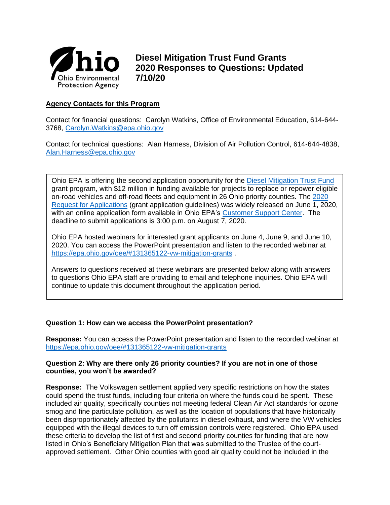

**Diesel Mitigation Trust Fund Grants 2020 Responses to Questions: Updated 7/10/20**

# **Agency Contacts for this Program**

Contact for financial questions: Carolyn Watkins, Office of Environmental Education, 614-644- 3768, [Carolyn.Watkins@epa.ohio.gov](mailto:Carolyn.Watkins@epa.ohio.gov)

Contact for technical questions: Alan Harness, Division of Air Pollution Control, 614-644-4838, [Alan.Harness@epa.ohio.gov](mailto:Alan.Harness@epa.ohio.gov)

Ohio EPA is offering the second application opportunity for the [Diesel Mitigation Trust Fund](http://epa.ohio.gov/oee/#131365122-vw-mitigation-grants) grant program, with \$12 million in funding available for projects to replace or repower eligible on-road vehicles and off-road fleets and equipment in 26 Ohio priority counties. The [2020](https://epa.ohio.gov/Portals/42/documents/VW/DMTF%20RFA%20June20.pdf)  [Request for Applications](https://epa.ohio.gov/Portals/42/documents/VW/DMTF%20RFA%20June20.pdf) (grant application guidelines) was widely released on June 1, 2020, with an online application form available in Ohio EPA's [Customer Support Center.](https://ohioepa.custhelp.com/app/utils/create_account/session/L3RpbWUvMTUyNzg1ODc4Ny9nZW4vMTUyNzg1ODc4Ny9zaWQvZlU2RVRnQkgwZWNNN1hZb2E1ekVpJTdFMHlfblRFN2VxNlhqTlBKSW9kNWxDVkxMXyU3RW82emFUbkJ0eDhKZmx5ZyU3RTMxNndKdmpyOFpPRVFXQXNGNDdLbUpsNVBtSzV3RVlBc0xvS0c1aDBSRVIxSXBCRTd1UUZZakNBJTIxJTIx) The deadline to submit applications is 3:00 p.m. on August 7, 2020.

Ohio EPA hosted webinars for interested grant applicants on June 4, June 9, and June 10, 2020. You can access the PowerPoint presentation and listen to the recorded webinar at <https://epa.ohio.gov/oee/#131365122-vw-mitigation-grants>

Answers to questions received at these webinars are presented below along with answers to questions Ohio EPA staff are providing to email and telephone inquiries. Ohio EPA will continue to update this document throughout the application period.

# **Question 1: How can we access the PowerPoint presentation?**

**Response:** You can access the PowerPoint presentation and listen to the recorded webinar at <https://epa.ohio.gov/oee/#131365122-vw-mitigation-grants>

### **Question 2: Why are there only 26 priority counties? If you are not in one of those counties, you won't be awarded?**

**Response:** The Volkswagen settlement applied very specific restrictions on how the states could spend the trust funds, including four criteria on where the funds could be spent. These included air quality, specifically counties not meeting federal Clean Air Act standards for ozone smog and fine particulate pollution, as well as the location of populations that have historically been disproportionately affected by the pollutants in diesel exhaust, and where the VW vehicles equipped with the illegal devices to turn off emission controls were registered. Ohio EPA used these criteria to develop the list of first and second priority counties for funding that are now listed in Ohio's Beneficiary Mitigation Plan that was submitted to the Trustee of the courtapproved settlement. Other Ohio counties with good air quality could not be included in the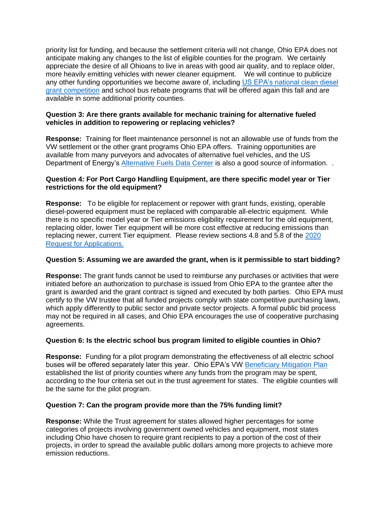priority list for funding, and because the settlement criteria will not change, Ohio EPA does not anticipate making any changes to the list of eligible counties for the program. We certainly appreciate the desire of all Ohioans to live in areas with good air quality, and to replace older, more heavily emitting vehicles with newer cleaner equipment. We will continue to publicize any other funding opportunities we become aware of, including US EPA's national clean diesel [grant competition](https://gcc01.safelinks.protection.outlook.com/?url=https%3A%2F%2Fwww.epa.gov%2Fcleandiesel&data=02%7C01%7CCarolyn.Watkins%40epa.ohio.gov%7Ca9a49e3467b0495d499308d6f6598147%7C50f8fcc494d84f0784eb36ed57c7c8a2%7C0%7C0%7C636967261618081882&sdata=iPu%2BVMuVs%2BfHzMzT4xYs1L7xOV0I%2FThauhJQBXOzvzM%3D&reserved=0) and school bus rebate programs that will be offered again this fall and are available in some additional priority counties.

## **Question 3: Are there grants available for mechanic training for alternative fueled vehicles in addition to repowering or replacing vehicles?**

**Response:** Training for fleet maintenance personnel is not an allowable use of funds from the VW settlement or the other grant programs Ohio EPA offers. Training opportunities are available from many purveyors and advocates of alternative fuel vehicles, and the US Department of Energy's [Alternative Fuels Data Center](https://afdc.energy.gov/) is also a good source of information. .

# **Question 4: For Port Cargo Handling Equipment, are there specific model year or Tier restrictions for the old equipment?**

**Response:** To be eligible for replacement or repower with grant funds, existing, operable diesel-powered equipment must be replaced with comparable all-electric equipment. While there is no specific model year or Tier emissions eligibility requirement for the old equipment, replacing older, lower Tier equipment will be more cost effective at reducing emissions than replacing newer, current Tier equipment. Please review sections 4.8 and 5.8 of the [2020](https://epa.ohio.gov/Portals/42/documents/VW/DMTF%20RFA%20June20.pdf)  [Request for Applications.](https://epa.ohio.gov/Portals/42/documents/VW/DMTF%20RFA%20June20.pdf)

# **Question 5: Assuming we are awarded the grant, when is it permissible to start bidding?**

**Response:** The grant funds cannot be used to reimburse any purchases or activities that were initiated before an authorization to purchase is issued from Ohio EPA to the grantee after the grant is awarded and the grant contract is signed and executed by both parties. Ohio EPA must certify to the VW trustee that all funded projects comply with state competitive purchasing laws, which apply differently to public sector and private sector projects. A formal public bid process may not be required in all cases, and Ohio EPA encourages the use of cooperative purchasing agreements.

# **Question 6: Is the electric school bus program limited to eligible counties in Ohio?**

**Response:** Funding for a pilot program demonstrating the effectiveness of all electric school buses will be offered separately later this year. Ohio EPA's VW [Beneficiary Mitigation Plan](https://epa.ohio.gov/oee/#1844010485-ohios-beneficiary-mitigation-plan) established the list of priority counties where any funds from the program may be spent, according to the four criteria set out in the trust agreement for states. The eligible counties will be the same for the pilot program.

# **Question 7: Can the program provide more than the 75% funding limit?**

**Response:** While the Trust agreement for states allowed higher percentages for some categories of projects involving government owned vehicles and equipment, most states including Ohio have chosen to require grant recipients to pay a portion of the cost of their projects, in order to spread the available public dollars among more projects to achieve more emission reductions.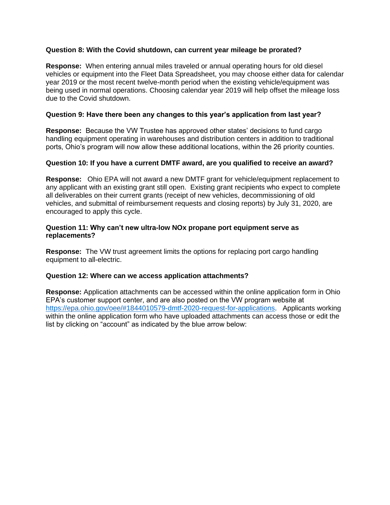## **Question 8: With the Covid shutdown, can current year mileage be prorated?**

**Response:** When entering annual miles traveled or annual operating hours for old diesel vehicles or equipment into the Fleet Data Spreadsheet, you may choose either data for calendar year 2019 or the most recent twelve-month period when the existing vehicle/equipment was being used in normal operations. Choosing calendar year 2019 will help offset the mileage loss due to the Covid shutdown.

### **Question 9: Have there been any changes to this year's application from last year?**

**Response:** Because the VW Trustee has approved other states' decisions to fund cargo handling equipment operating in warehouses and distribution centers in addition to traditional ports, Ohio's program will now allow these additional locations, within the 26 priority counties.

### **Question 10: If you have a current DMTF award, are you qualified to receive an award?**

**Response:** Ohio EPA will not award a new DMTF grant for vehicle/equipment replacement to any applicant with an existing grant still open. Existing grant recipients who expect to complete all deliverables on their current grants (receipt of new vehicles, decommissioning of old vehicles, and submittal of reimbursement requests and closing reports) by July 31, 2020, are encouraged to apply this cycle.

#### **Question 11: Why can't new ultra-low NOx propane port equipment serve as replacements?**

**Response:** The VW trust agreement limits the options for replacing port cargo handling equipment to all-electric.

#### **Question 12: Where can we access application attachments?**

**Response:** Application attachments can be accessed within the online application form in Ohio EPA's customer support center, and are also posted on the VW program website at [https://epa.ohio.gov/oee/#1844010579-dmtf-2020-request-for-applications.](https://epa.ohio.gov/oee/#1844010579-dmtf-2020-request-for-applications) Applicants working within the online application form who have uploaded attachments can access those or edit the list by clicking on "account" as indicated by the blue arrow below: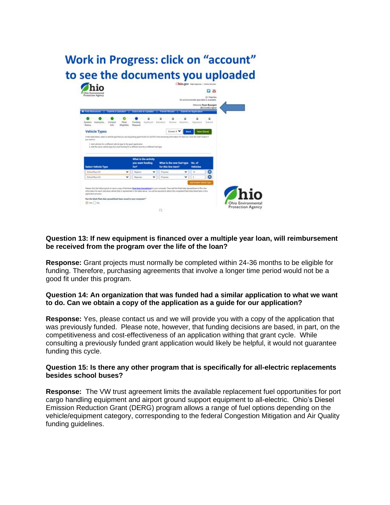

## **Question 13: If new equipment is financed over a multiple year loan, will reimbursement be received from the program over the life of the loan?**

**Response:** Grant projects must normally be completed within 24-36 months to be eligible for funding. Therefore, purchasing agreements that involve a longer time period would not be a good fit under this program.

### **Question 14: An organization that was funded had a similar application to what we want to do. Can we obtain a copy of the application as a guide for our application?**

**Response:** Yes, please contact us and we will provide you with a copy of the application that was previously funded. Please note, however, that funding decisions are based, in part, on the competitiveness and cost-effectiveness of an application withing that grant cycle. While consulting a previously funded grant application would likely be helpful, it would not guarantee funding this cycle.

### **Question 15: Is there any other program that is specifically for all-electric replacements besides school buses?**

**Response:** The VW trust agreement limits the available replacement fuel opportunities for port cargo handling equipment and airport ground support equipment to all-electric. Ohio's Diesel Emission Reduction Grant (DERG) program allows a range of fuel options depending on the vehicle/equipment category, corresponding to the federal Congestion Mitigation and Air Quality funding guidelines.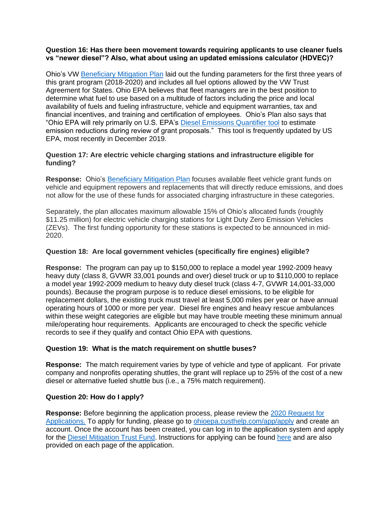## **Question 16: Has there been movement towards requiring applicants to use cleaner fuels vs "newer diesel"? Also, what about using an updated emissions calculator (HDVEC)?**

Ohio's VW [Beneficiary Mitigation Plan](https://epa.ohio.gov/oee/#1844010485-ohios-beneficiary-mitigation-plan) laid out the funding parameters for the first three years of this grant program (2018-2020) and includes all fuel options allowed by the VW Trust Agreement for States. Ohio EPA believes that fleet managers are in the best position to determine what fuel to use based on a multitude of factors including the price and local availability of fuels and fueling infrastructure, vehicle and equipment warranties, tax and financial incentives, and training and certification of employees. Ohio's Plan also says that "Ohio EPA will rely primarily on U.S. EPA's [Diesel Emissions Quantifier tool](https://cfpub.epa.gov/quantifier/index.cfm?action=main.home) to estimate emission reductions during review of grant proposals." This tool is frequently updated by US EPA, most recently in December 2019.

# **Question 17: Are electric vehicle charging stations and infrastructure eligible for funding?**

**Response:** Ohio's [Beneficiary](https://epa.ohio.gov/oee/#1844010485-ohios-beneficiary-mitigation-plan) Mitigation Plan focuses available fleet vehicle grant funds on vehicle and equipment repowers and replacements that will directly reduce emissions, and does not allow for the use of these funds for associated charging infrastructure in these categories.

Separately, the plan allocates maximum allowable 15% of Ohio's allocated funds (roughly \$11.25 million) for electric vehicle charging stations for Light Duty Zero Emission Vehicles (ZEVs). The first funding opportunity for these stations is expected to be announced in mid-2020.

## **Question 18: Are local government vehicles (specifically fire engines) eligible?**

**Response:** The program can pay up to \$150,000 to replace a model year 1992-2009 heavy heavy duty (class 8, GVWR 33,001 pounds and over) diesel truck or up to \$110,000 to replace a model year 1992-2009 medium to heavy duty diesel truck (class 4-7, GVWR 14,001-33,000 pounds). Because the program purpose is to reduce diesel emissions, to be eligible for replacement dollars, the existing truck must travel at least 5,000 miles per year or have annual operating hours of 1000 or more per year. Diesel fire engines and heavy rescue ambulances within these weight categories are eligible but may have trouble meeting these minimum annual mile/operating hour requirements. Applicants are encouraged to check the specific vehicle records to see if they qualify and contact Ohio EPA with questions.

# **Question 19: What is the match requirement on shuttle buses?**

**Response:** The match requirement varies by type of vehicle and type of applicant. For private company and nonprofits operating shuttles, the grant will replace up to 25% of the cost of a new diesel or alternative fueled shuttle bus (i.e., a 75% match requirement).

# **Question 20: How do I apply?**

**Response:** Before beginning the application process, please review the [2020 Request for](https://epa.ohio.gov/Portals/42/documents/VW/DMTF%20RFA%20June20.pdf)  [Applications.](https://epa.ohio.gov/Portals/42/documents/VW/DMTF%20RFA%20June20.pdf) To apply for funding, please go to [ohioepa.custhelp.com/app/apply](https://ohioepa.custhelp.com/app/apply) and create an account. Once the account has been created, you can log in to the application system and apply for the [Diesel Mitigation Trust Fund.](https://ohioepa.custhelp.com/app/OPAM/opa_deployment/DMTFG/preload/None/up/Yes) Instructions for applying can be found [here](https://ohioepa.custhelp.com/app/answers/detail/a_id/2962) and are also provided on each page of the application.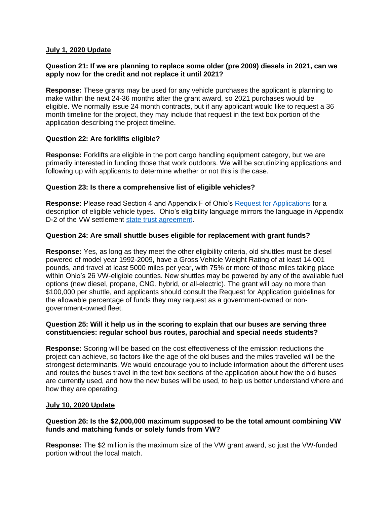### **July 1, 2020 Update**

### **Question 21: If we are planning to replace some older (pre 2009) diesels in 2021, can we apply now for the credit and not replace it until 2021?**

**Response:** These grants may be used for any vehicle purchases the applicant is planning to make within the next 24-36 months after the grant award, so 2021 purchases would be eligible. We normally issue 24 month contracts, but if any applicant would like to request a 36 month timeline for the project, they may include that request in the text box portion of the application describing the project timeline.

### **Question 22: Are forklifts eligible?**

**Response:** Forklifts are eligible in the port cargo handling equipment category, but we are primarily interested in funding those that work outdoors. We will be scrutinizing applications and following up with applicants to determine whether or not this is the case.

### **Question 23: Is there a comprehensive list of eligible vehicles?**

**Response:** Please read Section 4 and Appendix F of Ohio's [Request for Applications](https://epa.ohio.gov/Portals/42/documents/VW/DMTF%20RFA%20June20.pdf) for a description of eligible vehicle types. Ohio's eligibility language mirrors the language in Appendix D-2 of the VW settlement [state trust agreement.](https://www.epa.gov/enforcement/environmental-mitigation-trust-agreements)

### **Question 24: Are small shuttle buses eligible for replacement with grant funds?**

**Response:** Yes, as long as they meet the other eligibility criteria, old shuttles must be diesel powered of model year 1992-2009, have a Gross Vehicle Weight Rating of at least 14,001 pounds, and travel at least 5000 miles per year, with 75% or more of those miles taking place within Ohio's 26 VW-eligible counties. New shuttles may be powered by any of the available fuel options (new diesel, propane, CNG, hybrid, or all-electric). The grant will pay no more than \$100,000 per shuttle, and applicants should consult the Request for Application guidelines for the allowable percentage of funds they may request as a government-owned or nongovernment-owned fleet.

#### **Question 25: Will it help us in the scoring to explain that our buses are serving three constituencies: regular school bus routes, parochial and special needs students?**

**Response:** Scoring will be based on the cost effectiveness of the emission reductions the project can achieve, so factors like the age of the old buses and the miles travelled will be the strongest determinants. We would encourage you to include information about the different uses and routes the buses travel in the text box sections of the application about how the old buses are currently used, and how the new buses will be used, to help us better understand where and how they are operating.

#### **July 10, 2020 Update**

### **Question 26: Is the \$2,000,000 maximum supposed to be the total amount combining VW funds and matching funds or solely funds from VW?**

**Response:** The \$2 million is the maximum size of the VW grant award, so just the VW-funded portion without the local match.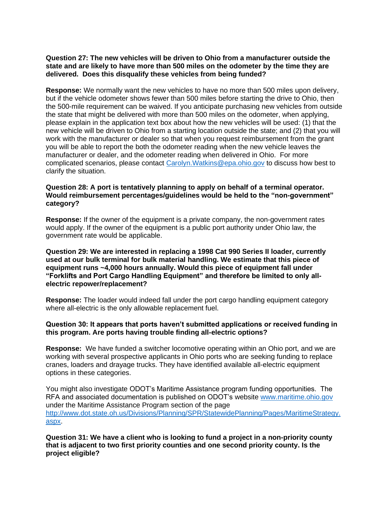### **Question 27: The new vehicles will be driven to Ohio from a manufacturer outside the state and are likely to have more than 500 miles on the odometer by the time they are delivered. Does this disqualify these vehicles from being funded?**

**Response:** We normally want the new vehicles to have no more than 500 miles upon delivery, but if the vehicle odometer shows fewer than 500 miles before starting the drive to Ohio, then the 500-mile requirement can be waived. If you anticipate purchasing new vehicles from outside the state that might be delivered with more than 500 miles on the odometer, when applying, please explain in the application text box about how the new vehicles will be used: (1) that the new vehicle will be driven to Ohio from a starting location outside the state; and (2) that you will work with the manufacturer or dealer so that when you request reimbursement from the grant you will be able to report the both the odometer reading when the new vehicle leaves the manufacturer or dealer, and the odometer reading when delivered in Ohio. For more complicated scenarios, please contact [Carolyn.Watkins@epa.ohio.gov](mailto:Carolyn.Watkins@epa.ohio.gov) to discuss how best to clarify the situation.

#### **Question 28: A port is tentatively planning to apply on behalf of a terminal operator. Would reimbursement percentages/guidelines would be held to the "non-government" category?**

**Response:** If the owner of the equipment is a private company, the non-government rates would apply. If the owner of the equipment is a public port authority under Ohio law, the government rate would be applicable.

**Question 29: We are interested in replacing a 1998 Cat 990 Series II loader, currently used at our bulk terminal for bulk material handling. We estimate that this piece of equipment runs ~4,000 hours annually. Would this piece of equipment fall under "Forklifts and Port Cargo Handling Equipment" and therefore be limited to only allelectric repower/replacement?**

**Response:** The loader would indeed fall under the port cargo handling equipment category where all-electric is the only allowable replacement fuel.

### **Question 30: It appears that ports haven't submitted applications or received funding in this program. Are ports having trouble finding all-electric options?**

**Response:** We have funded a switcher locomotive operating within an Ohio port, and we are working with several prospective applicants in Ohio ports who are seeking funding to replace cranes, loaders and drayage trucks. They have identified available all-electric equipment options in these categories.

You might also investigate ODOT's Maritime Assistance program funding opportunities. The RFA and associated documentation is published on ODOT's website [www.maritime.ohio.gov](http://www.maritime.ohio.gov/) under the Maritime Assistance Program section of the page [http://www.dot.state.oh.us/Divisions/Planning/SPR/StatewidePlanning/Pages/MaritimeStrategy.](http://www.dot.state.oh.us/Divisions/Planning/SPR/StatewidePlanning/Pages/MaritimeStrategy.aspx) [aspx.](http://www.dot.state.oh.us/Divisions/Planning/SPR/StatewidePlanning/Pages/MaritimeStrategy.aspx)

**Question 31: We have a client who is looking to fund a project in a non-priority county that is adjacent to two first priority counties and one second priority county. Is the project eligible?**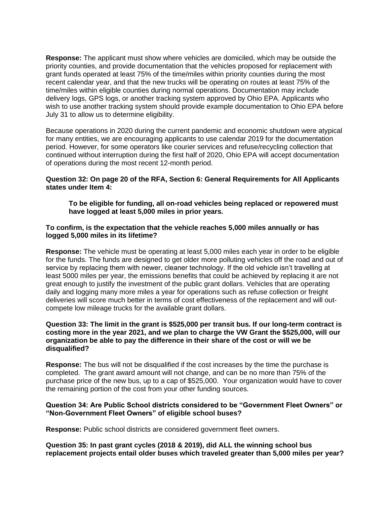**Response:** The applicant must show where vehicles are domiciled, which may be outside the priority counties, and provide documentation that the vehicles proposed for replacement with grant funds operated at least 75% of the time/miles within priority counties during the most recent calendar year, and that the new trucks will be operating on routes at least 75% of the time/miles within eligible counties during normal operations. Documentation may include delivery logs, GPS logs, or another tracking system approved by Ohio EPA. Applicants who wish to use another tracking system should provide example documentation to Ohio EPA before July 31 to allow us to determine eligibility.

Because operations in 2020 during the current pandemic and economic shutdown were atypical for many entities, we are encouraging applicants to use calendar 2019 for the documentation period. However, for some operators like courier services and refuse/recycling collection that continued without interruption during the first half of 2020, Ohio EPA will accept documentation of operations during the most recent 12-month period.

### **Question 32: On page 20 of the RFA, Section 6: General Requirements for All Applicants states under Item 4:**

**To be eligible for funding, all on-road vehicles being replaced or repowered must have logged at least 5,000 miles in prior years.**

#### **To confirm, is the expectation that the vehicle reaches 5,000 miles annually or has logged 5,000 miles in its lifetime?**

**Response:** The vehicle must be operating at least 5,000 miles each year in order to be eligible for the funds. The funds are designed to get older more polluting vehicles off the road and out of service by replacing them with newer, cleaner technology. If the old vehicle isn't travelling at least 5000 miles per year, the emissions benefits that could be achieved by replacing it are not great enough to justify the investment of the public grant dollars. Vehicles that are operating daily and logging many more miles a year for operations such as refuse collection or freight deliveries will score much better in terms of cost effectiveness of the replacement and will outcompete low mileage trucks for the available grant dollars.

## **Question 33: The limit in the grant is \$525,000 per transit bus. If our long-term contract is costing more in the year 2021, and we plan to charge the VW Grant the \$525,000, will our organization be able to pay the difference in their share of the cost or will we be disqualified?**

**Response:** The bus will not be disqualified if the cost increases by the time the purchase is completed. The grant award amount will not change, and can be no more than 75% of the purchase price of the new bus, up to a cap of \$525,000. Your organization would have to cover the remaining portion of the cost from your other funding sources.

### **Question 34: Are Public School districts considered to be "Government Fleet Owners" or "Non-Government Fleet Owners" of eligible school buses?**

**Response:** Public school districts are considered government fleet owners.

**Question 35: In past grant cycles (2018 & 2019), did ALL the winning school bus replacement projects entail older buses which traveled greater than 5,000 miles per year?**